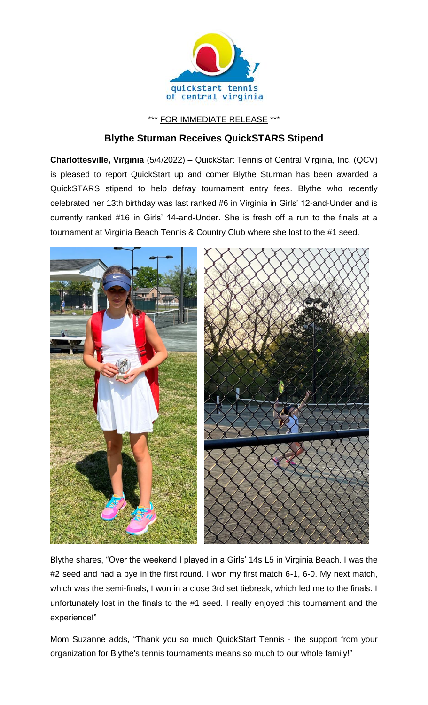

\*\*\* FOR IMMEDIATE RELEASE \*\*\*

## **Blythe Sturman Receives QuickSTARS Stipend**

**Charlottesville, Virginia** (5/4/2022) – QuickStart Tennis of Central Virginia, Inc. (QCV) is pleased to report QuickStart up and comer Blythe Sturman has been awarded a QuickSTARS stipend to help defray tournament entry fees. Blythe who recently celebrated her 13th birthday was last ranked #6 in Virginia in Girls' 12-and-Under and is currently ranked #16 in Girls' 14-and-Under. She is fresh off a run to the finals at a tournament at Virginia Beach Tennis & Country Club where she lost to the #1 seed.



Blythe shares, "Over the weekend I played in a Girls' 14s L5 in Virginia Beach. I was the #2 seed and had a bye in the first round. I won my first match 6-1, 6-0. My next match, which was the semi-finals, I won in a close 3rd set tiebreak, which led me to the finals. I unfortunately lost in the finals to the #1 seed. I really enjoyed this tournament and the experience!"

Mom Suzanne adds, "Thank you so much QuickStart Tennis - the support from your organization for Blythe's tennis tournaments means so much to our whole family!"